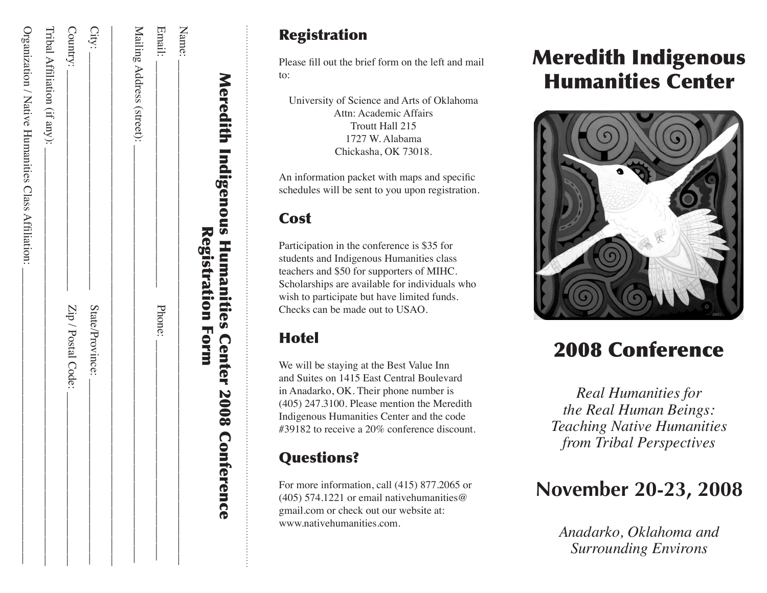| Meredith Indigenous Humanities Center 2008 Con<br><b>Registration Form</b> | terence            |
|----------------------------------------------------------------------------|--------------------|
| Name:                                                                      |                    |
| Email:                                                                     | Phone:             |
| Mailing Address (street):                                                  |                    |
|                                                                            |                    |
| City:                                                                      | State/Province:    |
| Country:                                                                   | Zip / Postal Code: |
| Tribal Affliation (if any):                                                |                    |
| Organization / Native Humanities Class Affiliation:                        |                    |
|                                                                            |                    |

## Registration

Please fill out the brief form on the left and mail to:

University of Science and Arts of Oklahoma Attn: Academic Affairs Troutt Hall 215 1727 W. Alabama Chickasha, OK 73018.

An information packet with maps and specific schedules will be sent to you upon registration.

#### **Cost**

Participation in the conference is \$35 for students and Indigenous Humanities class teachers and \$50 for supporters of MIHC. Scholarships are available for individuals who wish to participate but have limited funds. Checks can be made out to USAO.

### **Hotel**

We will be staying at the Best Value Inn and Suites on 1415 East Central Boulevard in Anadarko, OK. Their phone number is (405) 247.3100. Please mention the Meredith Indigenous Humanities Center and the code #39182 to receive a 20% conference discount.

## Questions?

For more information, call (415) 877.2065 or (405) 574.1221 or email nativehumanities@ gmail.com or check out our website at: www.nativehumanities.com.

# Meredith Indigenous Humanities Center



# 2008 Conference

*Real Humanities for the Real Human Beings: Teaching Native Humanities from Tribal Perspectives*

## **November 20-23, 2008**

*Anadarko, Oklahoma and Surrounding Environs*